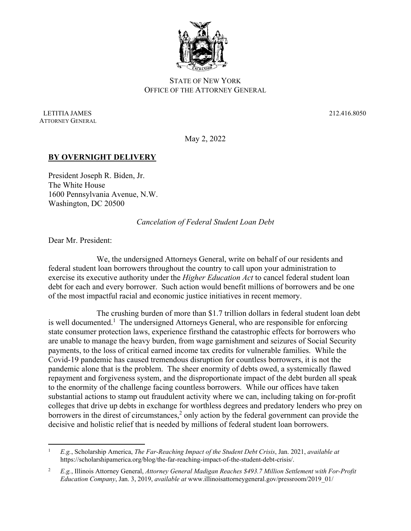

## STATE OF NEW YORK OFFICE OF THE ATTORNEY GENERAL

 LETITIA JAMES 212.416.8050 ATTORNEY GENERAL

May 2, 2022

## **BY OVERNIGHT DELIVERY**

President Joseph R. Biden, Jr. The White House 1600 Pennsylvania Avenue, N.W. Washington, DC 20500

*Cancelation of Federal Student Loan Debt* 

Dear Mr. President:

We, the undersigned Attorneys General, write on behalf of our residents and federal student loan borrowers throughout the country to call upon your administration to exercise its executive authority under the *Higher Education Act* to cancel federal student loan debt for each and every borrower. Such action would benefit millions of borrowers and be one of the most impactful racial and economic justice initiatives in recent memory.

The crushing burden of more than \$1.7 trillion dollars in federal student loan debt is well documented.<sup>1</sup> The undersigned Attorneys General, who are responsible for enforcing state consumer protection laws, experience firsthand the catastrophic effects for borrowers who are unable to manage the heavy burden, from wage garnishment and seizures of Social Security payments, to the loss of critical earned income tax credits for vulnerable families. While the Covid-19 pandemic has caused tremendous disruption for countless borrowers, it is not the pandemic alone that is the problem. The sheer enormity of debts owed, a systemically flawed repayment and forgiveness system, and the disproportionate impact of the debt burden all speak to the enormity of the challenge facing countless borrowers. While our offices have taken substantial actions to stamp out fraudulent activity where we can, including taking on for-profit colleges that drive up debts in exchange for worthless degrees and predatory lenders who prey on borrowers in the direst of circumstances, $2$  only action by the federal government can provide the decisive and holistic relief that is needed by millions of federal student loan borrowers.

<sup>1</sup> *E.g.*, Scholarship America, *The Far-Reaching Impact of the Student Debt Crisis*, Jan. 2021, *available at*  https://scholarshipamerica.org/blog/the-far-reaching-impact-of-the-student-debt-crisis/.

<sup>2</sup> *E.g.*, Illinois Attorney General, *Attorney General Madigan Reaches \$493.7 Million Settlement with For-Profit Education Company*, Jan. 3, 2019, *available at* www.illinoisattorneygeneral.gov/pressroom/2019\_01/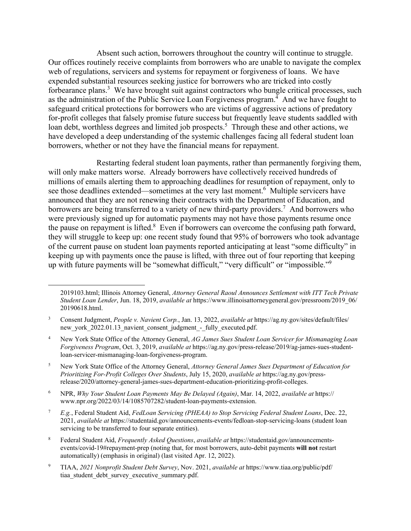Absent such action, borrowers throughout the country will continue to struggle. Our offices routinely receive complaints from borrowers who are unable to navigate the complex web of regulations, servicers and systems for repayment or forgiveness of loans. We have expended substantial resources seeking justice for borrowers who are tricked into costly forbearance plans.<sup>3</sup> We have brought suit against contractors who bungle critical processes, such as the administration of the Public Service Loan Forgiveness program.<sup>4</sup> And we have fought to safeguard critical protections for borrowers who are victims of aggressive actions of predatory for-profit colleges that falsely promise future success but frequently leave students saddled with loan debt, worthless degrees and limited job prospects.<sup>5</sup> Through these and other actions, we have developed a deep understanding of the systemic challenges facing all federal student loan borrowers, whether or not they have the financial means for repayment.

Restarting federal student loan payments, rather than permanently forgiving them, will only make matters worse. Already borrowers have collectively received hundreds of millions of emails alerting them to approaching deadlines for resumption of repayment, only to see those deadlines extended—sometimes at the very last moment.<sup>6</sup> Multiple servicers have announced that they are not renewing their contracts with the Department of Education, and borrowers are being transferred to a variety of new third-party providers.<sup>7</sup> And borrowers who were previously signed up for automatic payments may not have those payments resume once the pause on repayment is lifted. $8$  Even if borrowers can overcome the confusing path forward, they will struggle to keep up: one recent study found that 95% of borrowers who took advantage of the current pause on student loan payments reported anticipating at least "some difficulty" in keeping up with payments once the pause is lifted, with three out of four reporting that keeping up with future payments will be "somewhat difficult," "very difficult" or "impossible."<sup>9</sup>

<sup>2019103.</sup>html; Illinois Attorney General, *Attorney General Raoul Announces Settlement with ITT Tech Private Student Loan Lender*, Jun. 18, 2019, *available at* https://www.illinoisattorneygeneral.gov/pressroom/2019\_06/ 20190618.html.

<sup>3</sup> Consent Judgment, *People v. Navient Corp.*, Jan. 13, 2022, *available at* https://ag.ny.gov/sites/default/files/ new york 2022.01.13 navient consent judgment - fully executed.pdf.

<sup>4</sup> New York State Office of the Attorney General, *AG James Sues Student Loan Servicer for Mismanaging Loan Forgiveness Program*, Oct. 3, 2019, *available at* https://ag.ny.gov/press-release/2019/ag-james-sues-studentloan-servicer-mismanaging-loan-forgiveness-program.

<sup>5</sup> New York State Office of the Attorney General, *Attorney General James Sues Department of Education for Prioritizing For-Profit Colleges Over Students*, July 15, 2020, *available at* https://ag.ny.gov/pressrelease/2020/attorney-general-james-sues-department-education-prioritizing-profit-colleges.

<sup>6</sup> NPR, *Why Your Student Loan Payments May Be Delayed (Again)*, Mar. 14, 2022, *available at* https:// www.npr.org/2022/03/14/1085707282/student-loan-payments-extension.

<sup>7</sup> *E.g.*, Federal Student Aid, *FedLoan Servicing (PHEAA) to Stop Servicing Federal Student Loans*, Dec. 22, 2021, *available at* https://studentaid.gov/announcements-events/fedloan-stop-servicing-loans (student loan servicing to be transferred to four separate entities).

<sup>8</sup> Federal Student Aid, *Frequently Asked Questions*, *available at* https://studentaid.gov/announcementsevents/covid-19#repayment-prep (noting that, for most borrowers, auto-debit payments **will not** restart automatically) (emphasis in original) (last visited Apr. 12, 2022).

<sup>9</sup> TIAA, *2021 Nonprofit Student Debt Survey*, Nov. 2021, *available at* https://www.tiaa.org/public/pdf/ tiaa student debt survey executive summary.pdf.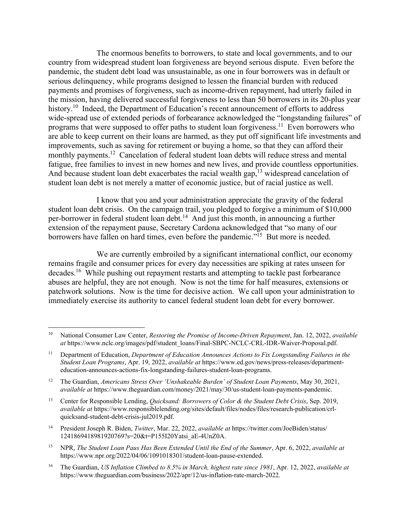The enormous benefits to borrowers, to state and local governments, and to our country from widespread student loan forgiveness are beyond serious dispute. Even before the pandemic, the student debt load was unsustainable, as one in four borrowers was in default or serious delinquency, while programs designed to lessen the financial burden with reduced payments and promises of forgiveness, such as income-driven repayment, had utterly failed in the mission, having delivered successful forgiveness to less than 50 borrowers in its 20-plus year history.<sup>10</sup> Indeed, the Department of Education's recent announcement of efforts to address wide-spread use of extended periods of forbearance acknowledged the "longstanding failures" of programs that were supposed to offer paths to student loan forgiveness.11 Even borrowers who are able to keep current on their loans are harmed, as they put off significant life investments and improvements, such as saving for retirement or buying a home, so that they can afford their monthly payments.12 Cancelation of federal student loan debts will reduce stress and mental fatigue, free families to invest in new homes and new lives, and provide countless opportunities. And because student loan debt exacerbates the racial wealth gap,  $13$  widespread cancelation of student loan debt is not merely a matter of economic justice, but of racial justice as well.

I know that you and your administration appreciate the gravity of the federal student loan debt crisis. On the campaign trail, you pledged to forgive a minimum of \$10,000 per-borrower in federal student loan debt.<sup>14</sup> And just this month, in announcing a further extension of the repayment pause, Secretary Cardona acknowledged that "so many of our borrowers have fallen on hard times, even before the pandemic."15 But more is needed.

We are currently embroiled by a significant international conflict, our economy remains fragile and consumer prices for every day necessities are spiking at rates unseen for decades.<sup>16</sup> While pushing out repayment restarts and attempting to tackle past forbearance abuses are helpful, they are not enough. Now is not the time for half measures, extensions or patchwork solutions. Now is the time for decisive action. We call upon your administration to immediately exercise its authority to cancel federal student loan debt for every borrower.

14 President Joseph R. Biden, *Twitter*, Mar. 22, 2022, *available at* https://twitter.com/JoeBiden/status/ 1241869418981920769?s=20&t=P155I20Yatsi\_aE-4UnZ0A.

16 The Guardian, *US Inflation Climbed to 8.5% in March, highest rate since 1981*, Apr. 12, 2022, *available at*  https://www.theguardian.com/business/2022/apr/12/us-inflation-rate-march-2022.

<sup>10</sup> National Consumer Law Center, *Restoring the Promise of Income-Driven Repayment*, Jan. 12, 2022, *available at* https://www.nclc.org/images/pdf/student\_loans/Final-SBPC-NCLC-CRL-IDR-Waiver-Proposal.pdf.

<sup>11</sup> Department of Education, *Department of Education Announces Actions to Fix Longstanding Failures in the Student Loan Programs*, Apr. 19, 2022, *available at* https://www.ed.gov/news/press-releases/departmenteducation-announces-actions-fix-longstanding-failures-student-loan-programs.

<sup>12</sup> The Guardian, *Americans Stress Over 'Unshakeable Burden' of Student Loan Payments*, May 30, 2021, *available at* https://www.theguardian.com/money/2021/may/30/us-student-loan-payments-pandemic.

<sup>13</sup> Center for Responsible Lending, *Quicksand: Borrowers of Color & the Student Debt Crisis*, Sep. 2019, *available at* https://www.responsiblelending.org/sites/default/files/nodes/files/research-publication/crlquicksand-student-debt-crisis-jul2019.pdf.

<sup>15</sup> NPR, *The Student Loan Paus Has Been Extended Until the End of the Summer*, Apr. 6, 2022, *available at*  https://www.npr.org/2022/04/06/1091018301/student-loan-pause-extended.